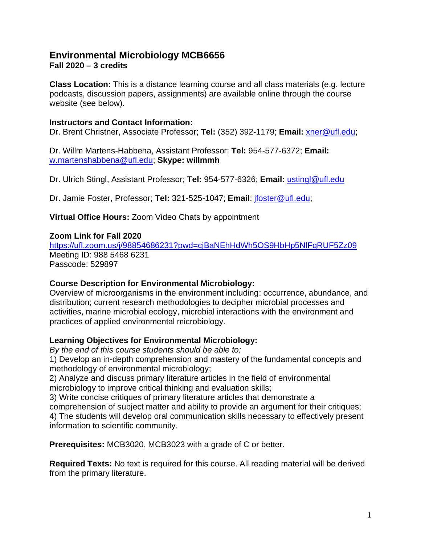# **Environmental Microbiology MCB6656 Fall 2020 – 3 credits**

**Class Location:** This is a distance learning course and all class materials (e.g. lecture podcasts, discussion papers, assignments) are available online through the course website (see below).

#### **Instructors and Contact Information:**

Dr. Brent Christner, Associate Professor; **Tel:** (352) 392-1179; **Email:** [xner@ufl.edu;](mailto:xner@ufl.edu)

Dr. Willm Martens-Habbena, Assistant Professor; **Tel:** 954-577-6372; **Email:** [w.martenshabbena@ufl.edu;](mailto:w.martenshabbena@ufl.edu) **Skype: willmmh**

Dr. Ulrich Stingl, Assistant Professor; **Tel:** 954-577-6326; **Email:** [ustingl@ufl.edu](mailto:ustingl@ufl.edu)

Dr. Jamie Foster, Professor; **Tel:** 321-525-1047; **Email**: [jfoster@ufl.edu;](mailto:jfoster@ufl.edu)

**Virtual Office Hours:** Zoom Video Chats by appointment

#### **Zoom Link for Fall 2020**

<https://ufl.zoom.us/j/98854686231?pwd=cjBaNEhHdWh5OS9HbHp5NlFqRUF5Zz09> Meeting ID: 988 5468 6231 Passcode: 529897

#### **Course Description for Environmental Microbiology:**

Overview of microorganisms in the environment including: occurrence, abundance, and distribution; current research methodologies to decipher microbial processes and activities, marine microbial ecology, microbial interactions with the environment and practices of applied environmental microbiology.

## **Learning Objectives for Environmental Microbiology:**

*By the end of this course students should be able to:*

1) Develop an in-depth comprehension and mastery of the fundamental concepts and methodology of environmental microbiology;

2) Analyze and discuss primary literature articles in the field of environmental microbiology to improve critical thinking and evaluation skills;

3) Write concise critiques of primary literature articles that demonstrate a

comprehension of subject matter and ability to provide an argument for their critiques; 4) The students will develop oral communication skills necessary to effectively present

information to scientific community.

**Prerequisites:** MCB3020, MCB3023 with a grade of C or better.

**Required Texts:** No text is required for this course. All reading material will be derived from the primary literature.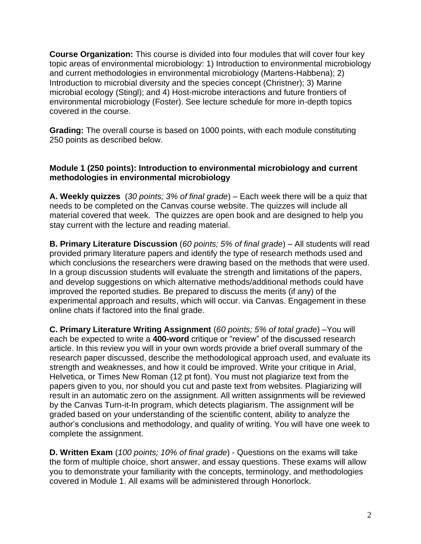**Course Organization:** This course is divided into four modules that will cover four key topic areas of environmental microbiology: 1) Introduction to environmental microbiology and current methodologies in environmental microbiology (Martens-Habbena); 2) Introduction to microbial diversity and the species concept (Christner); 3) Marine microbial ecology (Stingl); and 4) Host-microbe interactions and future frontiers of environmental microbiology (Foster). See lecture schedule for more in-depth topics covered in the course.

**Grading:** The overall course is based on 1000 points, with each module constituting 250 points as described below.

#### **Module 1 (250 points): Introduction to environmental microbiology and current methodologies in environmental microbiology**

**A. Weekly quizzes** (*30 points; 3% of final grade*) – Each week there will be a quiz that needs to be completed on the Canvas course website. The quizzes will include all material covered that week. The quizzes are open book and are designed to help you stay current with the lecture and reading material.

**B. Primary Literature Discussion** (*60 points; 5% of final grade*) – All students will read provided primary literature papers and identify the type of research methods used and which conclusions the researchers were drawing based on the methods that were used. In a group discussion students will evaluate the strength and limitations of the papers, and develop suggestions on which alternative methods/additional methods could have improved the reported studies. Be prepared to discuss the merits (if any) of the experimental approach and results, which will occur. via Canvas. Engagement in these online chats if factored into the final grade.

**C. Primary Literature Writing Assignment** (*60 points; 5% of total grade*) –You will each be expected to write a **400-word** critique or "review" of the discussed research article. In this review you will in your own words provide a brief overall summary of the research paper discussed, describe the methodological approach used, and evaluate its strength and weaknesses, and how it could be improved. Write your critique in Arial, Helvetica, or Times New Roman (12 pt font). You must not plagiarize text from the papers given to you, nor should you cut and paste text from websites. Plagiarizing will result in an automatic zero on the assignment. All written assignments will be reviewed by the Canvas Turn-it-In program, which detects plagiarism. The assignment will be graded based on your understanding of the scientific content, ability to analyze the author's conclusions and methodology, and quality of writing. You will have one week to complete the assignment.

**D. Written Exam** (*100 points; 10% of final grade*) - Questions on the exams will take the form of multiple choice, short answer, and essay questions. These exams will allow you to demonstrate your familiarity with the concepts, terminology, and methodologies covered in Module 1. All exams will be administered through Honorlock.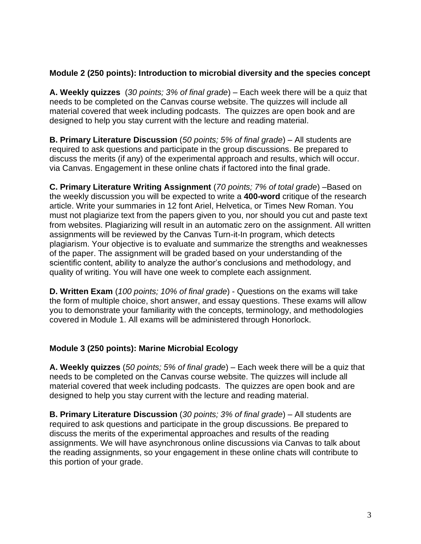## **Module 2 (250 points): Introduction to microbial diversity and the species concept**

**A. Weekly quizzes** (*30 points; 3% of final grade*) – Each week there will be a quiz that needs to be completed on the Canvas course website. The quizzes will include all material covered that week including podcasts. The quizzes are open book and are designed to help you stay current with the lecture and reading material.

**B. Primary Literature Discussion** (*50 points; 5% of final grade*) – All students are required to ask questions and participate in the group discussions. Be prepared to discuss the merits (if any) of the experimental approach and results, which will occur. via Canvas. Engagement in these online chats if factored into the final grade.

**C. Primary Literature Writing Assignment** (*70 points; 7% of total grade*) –Based on the weekly discussion you will be expected to write a **400-word** critique of the research article. Write your summaries in 12 font Ariel, Helvetica, or Times New Roman. You must not plagiarize text from the papers given to you, nor should you cut and paste text from websites. Plagiarizing will result in an automatic zero on the assignment. All written assignments will be reviewed by the Canvas Turn-it-In program, which detects plagiarism. Your objective is to evaluate and summarize the strengths and weaknesses of the paper. The assignment will be graded based on your understanding of the scientific content, ability to analyze the author's conclusions and methodology, and quality of writing. You will have one week to complete each assignment.

**D. Written Exam** (*100 points; 10% of final grade*) - Questions on the exams will take the form of multiple choice, short answer, and essay questions. These exams will allow you to demonstrate your familiarity with the concepts, terminology, and methodologies covered in Module 1. All exams will be administered through Honorlock.

## **Module 3 (250 points): Marine Microbial Ecology**

**A. Weekly quizzes** (*50 points; 5% of final grade*) – Each week there will be a quiz that needs to be completed on the Canvas course website. The quizzes will include all material covered that week including podcasts. The quizzes are open book and are designed to help you stay current with the lecture and reading material.

**B. Primary Literature Discussion** (*30 points; 3% of final grade*) – All students are required to ask questions and participate in the group discussions. Be prepared to discuss the merits of the experimental approaches and results of the reading assignments. We will have asynchronous online discussions via Canvas to talk about the reading assignments, so your engagement in these online chats will contribute to this portion of your grade.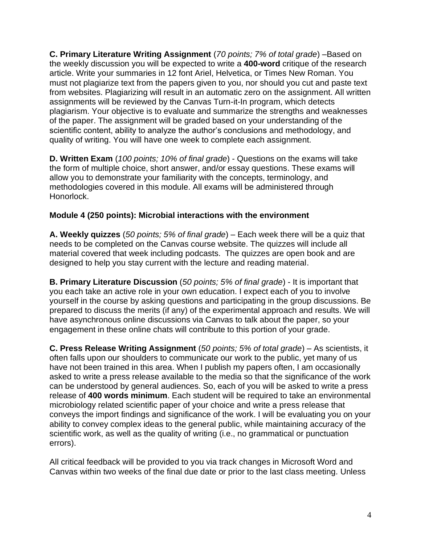**C. Primary Literature Writing Assignment** (*70 points; 7% of total grade*) –Based on the weekly discussion you will be expected to write a **400-word** critique of the research article. Write your summaries in 12 font Ariel, Helvetica, or Times New Roman. You must not plagiarize text from the papers given to you, nor should you cut and paste text from websites. Plagiarizing will result in an automatic zero on the assignment. All written assignments will be reviewed by the Canvas Turn-it-In program, which detects plagiarism. Your objective is to evaluate and summarize the strengths and weaknesses of the paper. The assignment will be graded based on your understanding of the scientific content, ability to analyze the author's conclusions and methodology, and quality of writing. You will have one week to complete each assignment.

**D. Written Exam** (*100 points; 10% of final grade*) - Questions on the exams will take the form of multiple choice, short answer, and/or essay questions. These exams will allow you to demonstrate your familiarity with the concepts, terminology, and methodologies covered in this module. All exams will be administered through Honorlock.

## **Module 4 (250 points): Microbial interactions with the environment**

**A. Weekly quizzes** (*50 points; 5% of final grade*) – Each week there will be a quiz that needs to be completed on the Canvas course website. The quizzes will include all material covered that week including podcasts. The quizzes are open book and are designed to help you stay current with the lecture and reading material.

**B. Primary Literature Discussion** (*50 points; 5% of final grade*) - It is important that you each take an active role in your own education. I expect each of you to involve yourself in the course by asking questions and participating in the group discussions. Be prepared to discuss the merits (if any) of the experimental approach and results. We will have asynchronous online discussions via Canvas to talk about the paper, so your engagement in these online chats will contribute to this portion of your grade.

**C. Press Release Writing Assignment** (*50 points; 5% of total grade*) – As scientists, it often falls upon our shoulders to communicate our work to the public, yet many of us have not been trained in this area. When I publish my papers often, I am occasionally asked to write a press release available to the media so that the significance of the work can be understood by general audiences. So, each of you will be asked to write a press release of **400 words minimum**. Each student will be required to take an environmental microbiology related scientific paper of your choice and write a press release that conveys the import findings and significance of the work. I will be evaluating you on your ability to convey complex ideas to the general public, while maintaining accuracy of the scientific work, as well as the quality of writing (i.e., no grammatical or punctuation errors).

All critical feedback will be provided to you via track changes in Microsoft Word and Canvas within two weeks of the final due date or prior to the last class meeting. Unless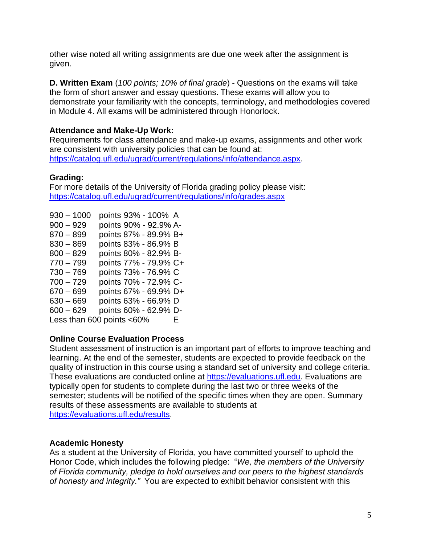other wise noted all writing assignments are due one week after the assignment is given.

**D. Written Exam** (*100 points; 10% of final grade*) - Questions on the exams will take the form of short answer and essay questions. These exams will allow you to demonstrate your familiarity with the concepts, terminology, and methodologies covered in Module 4. All exams will be administered through Honorlock.

## **Attendance and Make-Up Work:**

Requirements for class attendance and make-up exams, assignments and other work are consistent with university policies that can be found at: [https://catalog.ufl.edu/ugrad/current/regulations/info/attendance.aspx.](https://catalog.ufl.edu/ugrad/current/regulations/info/attendance.aspx)

# **Grading:**

For more details of the University of Florida grading policy please visit: <https://catalog.ufl.edu/ugrad/current/regulations/info/grades.aspx>

930 – 1000 points 93% - 100% A 900 – 929 points 90% - 92.9% A-870 – 899 points 87% - 89.9% B+ 830 – 869 points 83% - 86.9% B 800 – 829 points 80% - 82.9% B-770 – 799 points 77% - 79.9% C+ 730 – 769 points 73% - 76.9% C 700 – 729 points 70% - 72.9% C- $670 - 699$  points  $67\%$  -  $69.9\%$  D+ 630 – 669 points 63% - 66.9% D 600 – 629 points 60% - 62.9% D-Less than 600 points  $<60\%$  E

# **Online Course Evaluation Process**

Student assessment of instruction is an important part of efforts to improve teaching and learning. At the end of the semester, students are expected to provide feedback on the quality of instruction in this course using a standard set of university and college criteria. These evaluations are conducted online at [https://evaluations.ufl.edu.](https://evaluations.ufl.edu/) Evaluations are typically open for students to complete during the last two or three weeks of the semester; students will be notified of the specific times when they are open. Summary results of these assessments are available to students at [https://evaluations.ufl.edu/results.](https://evaluations.ufl.edu/results)

## **Academic Honesty**

As a student at the University of Florida, you have committed yourself to uphold the Honor Code, which includes the following pledge: "*We, the members of the University of Florida community, pledge to hold ourselves and our peers to the highest standards of honesty and integrity."* You are expected to exhibit behavior consistent with this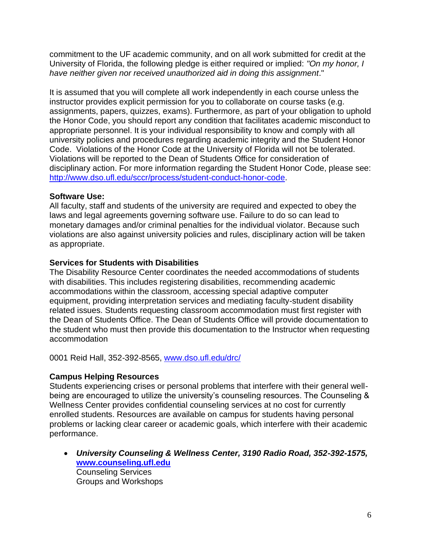commitment to the UF academic community, and on all work submitted for credit at the University of Florida, the following pledge is either required or implied: *"On my honor, I have neither given nor received unauthorized aid in doing this assignment*."

It is assumed that you will complete all work independently in each course unless the instructor provides explicit permission for you to collaborate on course tasks (e.g. assignments, papers, quizzes, exams). Furthermore, as part of your obligation to uphold the Honor Code, you should report any condition that facilitates academic misconduct to appropriate personnel. It is your individual responsibility to know and comply with all university policies and procedures regarding academic integrity and the Student Honor Code. Violations of the Honor Code at the University of Florida will not be tolerated. Violations will be reported to the Dean of Students Office for consideration of disciplinary action. For more information regarding the Student Honor Code, please see: [http://www.dso.ufl.edu/sccr/process/student-conduct-honor-code.](http://www.dso.ufl.edu/sccr/process/student-conduct-honor-code)

#### **Software Use:**

All faculty, staff and students of the university are required and expected to obey the laws and legal agreements governing software use. Failure to do so can lead to monetary damages and/or criminal penalties for the individual violator. Because such violations are also against university policies and rules, disciplinary action will be taken as appropriate.

#### **Services for Students with Disabilities**

The Disability Resource Center coordinates the needed accommodations of students with disabilities. This includes registering disabilities, recommending academic accommodations within the classroom, accessing special adaptive computer equipment, providing interpretation services and mediating faculty-student disability related issues. Students requesting classroom accommodation must first register with the Dean of Students Office. The Dean of Students Office will provide documentation to the student who must then provide this documentation to the Instructor when requesting accommodation

0001 Reid Hall, 352-392-8565, [www.dso.ufl.edu/drc/](http://www.dso.ufl.edu/drc/)

## **Campus Helping Resources**

Students experiencing crises or personal problems that interfere with their general wellbeing are encouraged to utilize the university's counseling resources. The Counseling & Wellness Center provides confidential counseling services at no cost for currently enrolled students. Resources are available on campus for students having personal problems or lacking clear career or academic goals, which interfere with their academic performance.

• *University Counseling & Wellness Center, 3190 Radio Road, 352-392-1575,* **[www.counseling.ufl.edu](http://www.counseling.ufl.edu/)**  Counseling Services Groups and Workshops